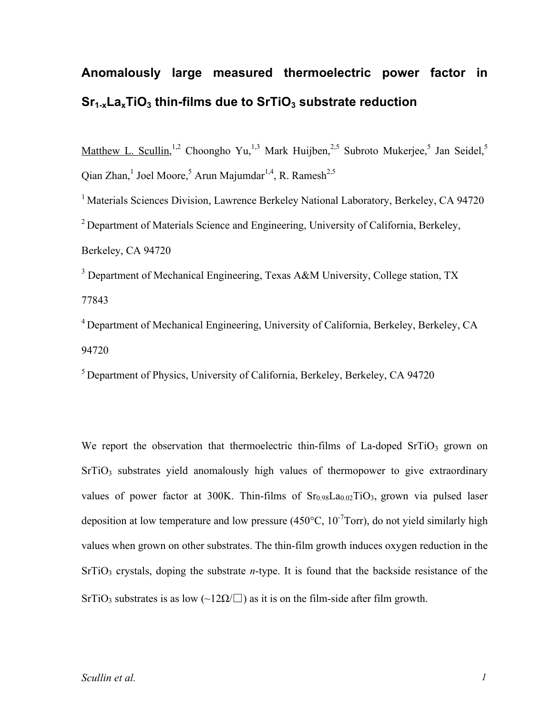## **Anomalously large measured thermoelectric power factor in Sr1-xLaxTiO3 thin-films due to SrTiO3 substrate reduction**

Matthew L. Scullin,<sup>1,2</sup> Choongho Yu,<sup>1,3</sup> Mark Huijben,<sup>2,5</sup> Subroto Mukerjee,<sup>5</sup> Jan Seidel,<sup>5</sup> Qian Zhan,<sup>1</sup> Joel Moore,<sup>5</sup> Arun Majumdar<sup>1,4</sup>, R. Ramesh<sup>2,5</sup>

<sup>1</sup> Materials Sciences Division, Lawrence Berkeley National Laboratory, Berkeley, CA 94720 <sup>2</sup> Department of Materials Science and Engineering, University of California, Berkeley, Berkeley, CA 94720

<sup>3</sup> Department of Mechanical Engineering, Texas A&M University, College station, TX 77843

<sup>4</sup> Department of Mechanical Engineering, University of California, Berkeley, Berkeley, CA 94720

<sup>5</sup> Department of Physics, University of California, Berkeley, Berkeley, CA 94720

We report the observation that thermoelectric thin-films of La-doped SrTiO<sub>3</sub> grown on  $SrTiO<sub>3</sub>$  substrates yield anomalously high values of thermopower to give extraordinary values of power factor at 300K. Thin-films of  $Sr<sub>0.98</sub>La<sub>0.02</sub>TiO<sub>3</sub>$ , grown via pulsed laser deposition at low temperature and low pressure (450 $\degree$ C, 10<sup>-7</sup>Torr), do not yield similarly high values when grown on other substrates. The thin-film growth induces oxygen reduction in the SrTiO<sub>3</sub> crystals, doping the substrate *n*-type. It is found that the backside resistance of the SrTiO<sub>3</sub> substrates is as low (~12 $\Omega/\square$ ) as it is on the film-side after film growth.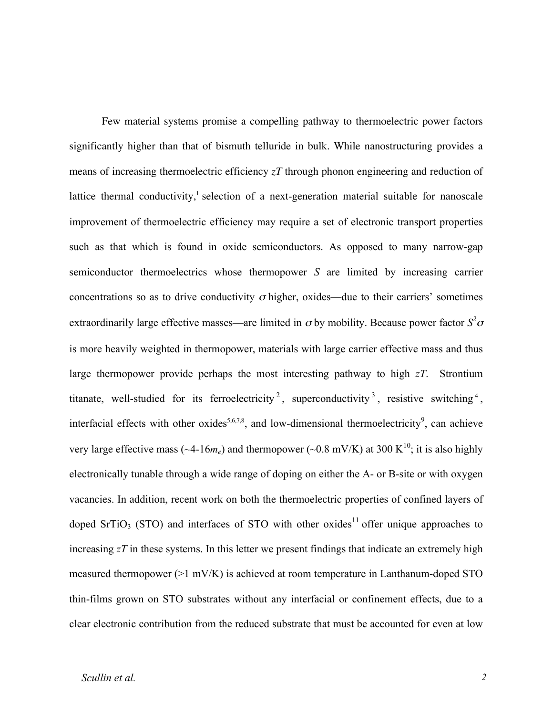Few material systems promise a compelling pathway to thermoelectric power factors significantly higher than that of bismuth telluride in bulk. While nanostructuring provides a means of increasing thermoelectric efficiency *zT* through phonon engineering and reduction of lattice thermal conductivity,<sup>1</sup> selection of a next-generation material suitable for nanoscale improvement of thermoelectric efficiency may require a set of electronic transport properties such as that which is found in oxide semiconductors. As opposed to many narrow-gap semiconductor thermoelectrics whose thermopower *S* are limited by increasing carrier concentrations so as to drive conductivity  $\sigma$  higher, oxides—due to their carriers' sometimes extraordinarily large effective masses—are limited in  $\sigma$  by mobility. Because power factor  $S^2 \sigma$ is more heavily weighted in thermopower, materials with large carrier effective mass and thus large thermopower provide perhaps the most interesting pathway to high *zT*. Strontium titanate, well-studied for its ferroelectricity<sup>2</sup>, superconductivity<sup>3</sup>, resistive switching<sup>4</sup>, interfacial effects with other oxides<sup>5,6,7,8</sup>, and low-dimensional thermoelectricity<sup>9</sup>, can achieve very large effective mass ( $\sim$ 4-16 $m_e$ ) and thermopower ( $\sim$ 0.8 mV/K) at 300 K<sup>10</sup>; it is also highly electronically tunable through a wide range of doping on either the A- or B-site or with oxygen vacancies. In addition, recent work on both the thermoelectric properties of confined layers of doped SrTiO<sub>3</sub> (STO) and interfaces of STO with other oxides<sup>11</sup> offer unique approaches to increasing *zT* in these systems. In this letter we present findings that indicate an extremely high measured thermopower (>1 mV/K) is achieved at room temperature in Lanthanum-doped STO thin-films grown on STO substrates without any interfacial or confinement effects, due to a clear electronic contribution from the reduced substrate that must be accounted for even at low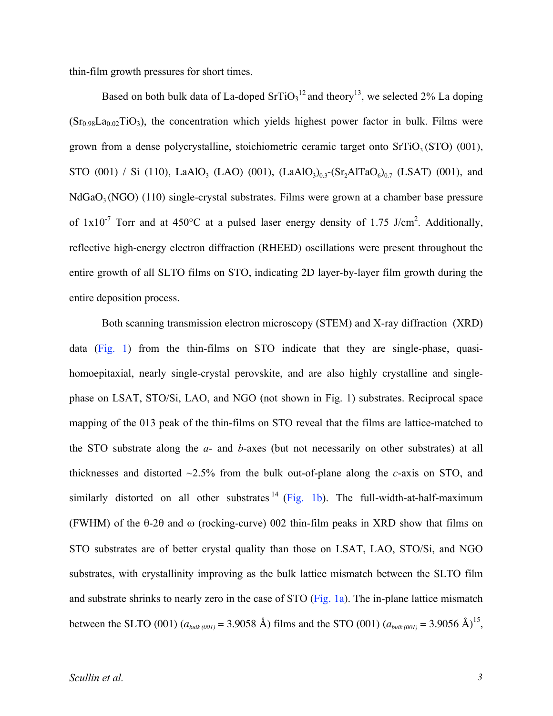thin-film growth pressures for short times.

Based on both bulk data of La-doped  $SrTiO<sub>3</sub><sup>12</sup>$  and theory<sup>13</sup>, we selected 2% La doping  $(Sr_{0.98}La_{0.02}TiO<sub>3</sub>)$ , the concentration which yields highest power factor in bulk. Films were grown from a dense polycrystalline, stoichiometric ceramic target onto  $SrTiO<sub>3</sub>(STO)$  (001), STO (001) / Si (110), LaAlO<sub>3</sub> (LAO) (001),  $(LaAlO<sub>3</sub>)<sub>0.3</sub>$ - $(Sr<sub>2</sub>AITaO<sub>6</sub>)<sub>0.7</sub>$  (LSAT) (001), and  $N_dGaO<sub>3</sub>(NGO)$  (110) single-crystal substrates. Films were grown at a chamber base pressure of  $1x10^{-7}$  Torr and at 450°C at a pulsed laser energy density of 1.75 J/cm<sup>2</sup>. Additionally, reflective high-energy electron diffraction (RHEED) oscillations were present throughout the entire growth of all SLTO films on STO, indicating 2D layer-by-layer film growth during the entire deposition process.

Both scanning transmission electron microscopy (STEM) and X-ray diffraction (XRD) data (Fig. 1) from the thin-films on STO indicate that they are single-phase, quasihomoepitaxial, nearly single-crystal perovskite, and are also highly crystalline and singlephase on LSAT, STO/Si, LAO, and NGO (not shown in Fig. 1) substrates. Reciprocal space mapping of the 013 peak of the thin-films on STO reveal that the films are lattice-matched to the STO substrate along the *a-* and *b-*axes (but not necessarily on other substrates) at all thicknesses and distorted ~2.5% from the bulk out-of-plane along the *c*-axis on STO, and similarly distorted on all other substrates  $^{14}$  (Fig. 1b). The full-width-at-half-maximum (FWHM) of the θ-2θ and ω (rocking-curve) 002 thin-film peaks in XRD show that films on STO substrates are of better crystal quality than those on LSAT, LAO, STO/Si, and NGO substrates, with crystallinity improving as the bulk lattice mismatch between the SLTO film and substrate shrinks to nearly zero in the case of STO (Fig. 1a). The in-plane lattice mismatch between the SLTO (001)  $(a_{bulk(001)} = 3.9058 \text{ Å})$  films and the STO (001)  $(a_{bulk(001)} = 3.9056 \text{ Å})^{15}$ ,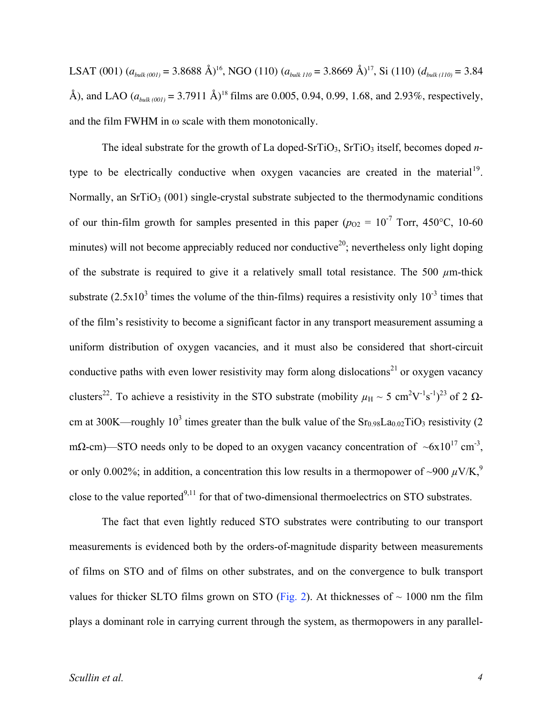LSAT (001)  $(a_{bulk(001)} = 3.8688 \text{ Å})^{16}$ , NGO (110)  $(a_{bulk 110} = 3.8669 \text{ Å})^{17}$ , Si (110)  $(d_{bulk(110)} = 3.84$ Å), and LAO  $(a_{bullet(001)} = 3.7911 \text{ Å})^{18}$  films are 0.005, 0.94, 0.99, 1.68, and 2.93%, respectively, and the film FWHM in  $\omega$  scale with them monotonically.

The ideal substrate for the growth of La doped-SrTiO<sub>3</sub>, SrTiO<sub>3</sub> itself, becomes doped *n*type to be electrically conductive when oxygen vacancies are created in the material<sup>19</sup>. Normally, an  $SrTiO<sub>3</sub>$  (001) single-crystal substrate subjected to the thermodynamic conditions of our thin-film growth for samples presented in this paper ( $p_{O2} = 10^{-7}$  Torr, 450°C, 10-60 minutes) will not become appreciably reduced nor conductive<sup>20</sup>; nevertheless only light doping of the substrate is required to give it a relatively small total resistance. The 500  $\mu$ m-thick substrate  $(2.5x10^3$  times the volume of the thin-films) requires a resistivity only  $10^{-3}$  times that of the film's resistivity to become a significant factor in any transport measurement assuming a uniform distribution of oxygen vacancies, and it must also be considered that short-circuit conductive paths with even lower resistivity may form along dislocations<sup>21</sup> or oxygen vacancy clusters<sup>22</sup>. To achieve a resistivity in the STO substrate (mobility  $\mu_H \sim 5 \text{ cm}^2 \text{V}^{-1} \text{s}^{-1}$ )<sup>23</sup> of 2  $\Omega$ cm at 300K—roughly 10<sup>3</sup> times greater than the bulk value of the  $Sr<sub>0.98</sub>La<sub>0.02</sub>TiO<sub>3</sub>$  resistivity (2) m $\Omega$ -cm)—STO needs only to be doped to an oxygen vacancy concentration of  $~\sim 6x10^{17}$  cm<sup>-3</sup>, or only 0.002%; in addition, a concentration this low results in a thermopower of ~900  $\mu$ V/K,<sup>9</sup> close to the value reported<sup>9,11</sup> for that of two-dimensional thermoelectrics on STO substrates.

The fact that even lightly reduced STO substrates were contributing to our transport measurements is evidenced both by the orders-of-magnitude disparity between measurements of films on STO and of films on other substrates, and on the convergence to bulk transport values for thicker SLTO films grown on STO (Fig. 2). At thicknesses of  $\sim 1000$  nm the film plays a dominant role in carrying current through the system, as thermopowers in any parallel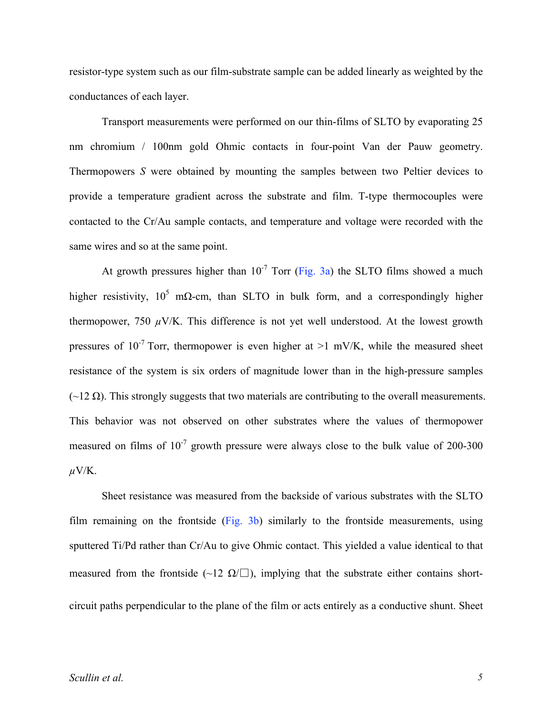resistor-type system such as our film-substrate sample can be added linearly as weighted by the conductances of each layer.

Transport measurements were performed on our thin-films of SLTO by evaporating 25 nm chromium / 100nm gold Ohmic contacts in four-point Van der Pauw geometry. Thermopowers *S* were obtained by mounting the samples between two Peltier devices to provide a temperature gradient across the substrate and film. T-type thermocouples were contacted to the Cr/Au sample contacts, and temperature and voltage were recorded with the same wires and so at the same point.

At growth pressures higher than  $10^{-7}$  Torr (Fig. 3a) the SLTO films showed a much higher resistivity,  $10^5$  m $\Omega$ -cm, than SLTO in bulk form, and a correspondingly higher thermopower, 750  $\mu$ V/K. This difference is not yet well understood. At the lowest growth pressures of  $10^{-7}$  Torr, thermopower is even higher at  $>1$  mV/K, while the measured sheet resistance of the system is six orders of magnitude lower than in the high-pressure samples  $\sim$  12 Ω). This strongly suggests that two materials are contributing to the overall measurements. This behavior was not observed on other substrates where the values of thermopower measured on films of  $10^{-7}$  growth pressure were always close to the bulk value of 200-300  $\mu$ V/K.

Sheet resistance was measured from the backside of various substrates with the SLTO film remaining on the frontside (Fig. 3b) similarly to the frontside measurements, using sputtered Ti/Pd rather than Cr/Au to give Ohmic contact. This yielded a value identical to that measured from the frontside (~12  $\Omega/\square$ ), implying that the substrate either contains shortcircuit paths perpendicular to the plane of the film or acts entirely as a conductive shunt. Sheet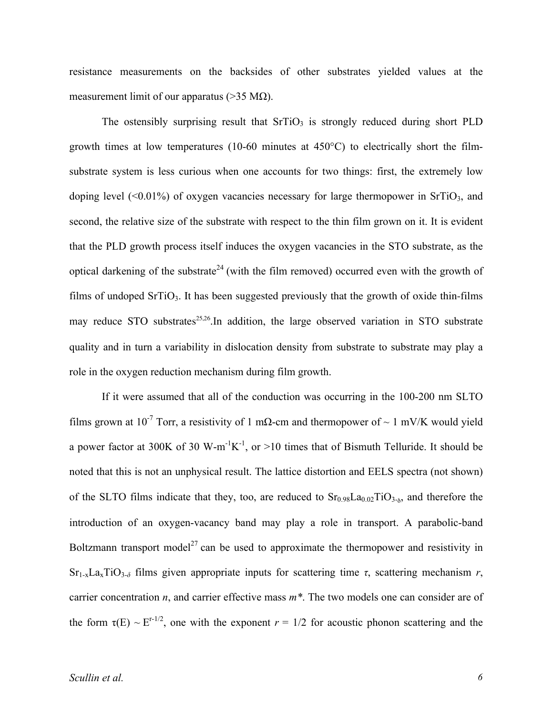resistance measurements on the backsides of other substrates yielded values at the measurement limit of our apparatus ( $>35$  M $\Omega$ ).

The ostensibly surprising result that  $S(\overline{G})$  is strongly reduced during short PLD growth times at low temperatures (10-60 minutes at  $450^{\circ}$ C) to electrically short the filmsubstrate system is less curious when one accounts for two things: first, the extremely low doping level  $(\leq 0.01\%)$  of oxygen vacancies necessary for large thermopower in SrTiO<sub>3</sub>, and second, the relative size of the substrate with respect to the thin film grown on it. It is evident that the PLD growth process itself induces the oxygen vacancies in the STO substrate, as the optical darkening of the substrate<sup>24</sup> (with the film removed) occurred even with the growth of films of undoped  $SrTiO<sub>3</sub>$ . It has been suggested previously that the growth of oxide thin-films may reduce STO substrates<sup>25,26</sup>. In addition, the large observed variation in STO substrate quality and in turn a variability in dislocation density from substrate to substrate may play a role in the oxygen reduction mechanism during film growth.

If it were assumed that all of the conduction was occurring in the 100-200 nm SLTO films grown at 10<sup>-7</sup> Torr, a resistivity of 1 mΩ-cm and thermopower of  $\sim 1$  mV/K would yield a power factor at 300K of 30 W-m<sup>-1</sup>K<sup>-1</sup>, or >10 times that of Bismuth Telluride. It should be noted that this is not an unphysical result. The lattice distortion and EELS spectra (not shown) of the SLTO films indicate that they, too, are reduced to  $Sr<sub>0.98</sub>La<sub>0.02</sub>TiO<sub>3-δ</sub>$ , and therefore the introduction of an oxygen-vacancy band may play a role in transport. A parabolic-band Boltzmann transport model<sup>27</sup> can be used to approximate the thermopower and resistivity in  $Sr_{1-x}La_{x}TiO_{3-\delta}$  films given appropriate inputs for scattering time  $\tau$ , scattering mechanism  $r$ , carrier concentration *n*, and carrier effective mass *m\**. The two models one can consider are of the form  $\tau(E) \sim E^{r-1/2}$ , one with the exponent  $r = 1/2$  for acoustic phonon scattering and the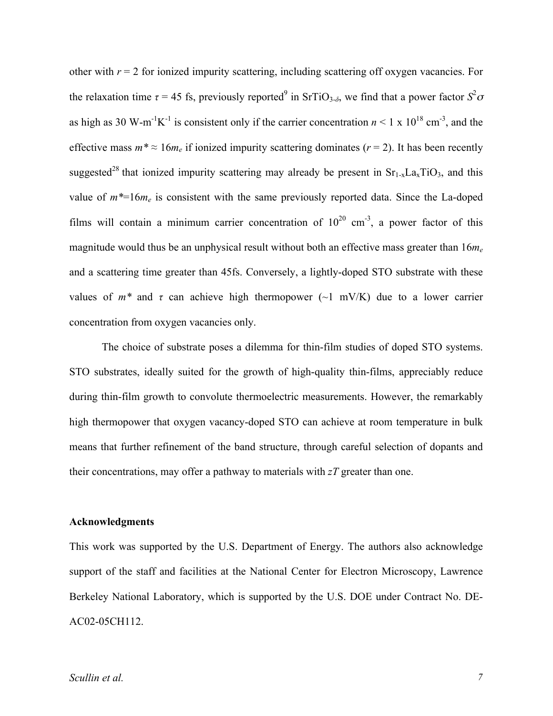other with  $r = 2$  for ionized impurity scattering, including scattering off oxygen vacancies. For the relaxation time  $\tau = 45$  fs, previously reported<sup>9</sup> in SrTiO<sub>3- $\delta$ </sub>, we find that a power factor  $S^2 \sigma$ as high as 30 W-m<sup>-1</sup>K<sup>-1</sup> is consistent only if the carrier concentration  $n < 1 \times 10^{18}$  cm<sup>-3</sup>, and the effective mass  $m^* \approx 16m_e$  if ionized impurity scattering dominates ( $r = 2$ ). It has been recently suggested<sup>28</sup> that ionized impurity scattering may already be present in  $Sr<sub>1-x</sub>La<sub>x</sub>TiO<sub>3</sub>$ , and this value of  $m^*=16m_e$  is consistent with the same previously reported data. Since the La-doped films will contain a minimum carrier concentration of  $10^{20}$  cm<sup>-3</sup>, a power factor of this magnitude would thus be an unphysical result without both an effective mass greater than 16*me* and a scattering time greater than 45fs. Conversely, a lightly-doped STO substrate with these values of  $m^*$  and  $\tau$  can achieve high thermopower ( $\sim$ 1 mV/K) due to a lower carrier concentration from oxygen vacancies only.

The choice of substrate poses a dilemma for thin-film studies of doped STO systems. STO substrates, ideally suited for the growth of high-quality thin-films, appreciably reduce during thin-film growth to convolute thermoelectric measurements. However, the remarkably high thermopower that oxygen vacancy-doped STO can achieve at room temperature in bulk means that further refinement of the band structure, through careful selection of dopants and their concentrations, may offer a pathway to materials with *zT* greater than one.

## **Acknowledgments**

This work was supported by the U.S. Department of Energy. The authors also acknowledge support of the staff and facilities at the National Center for Electron Microscopy, Lawrence Berkeley National Laboratory, which is supported by the U.S. DOE under Contract No. DE-AC02-05CH112.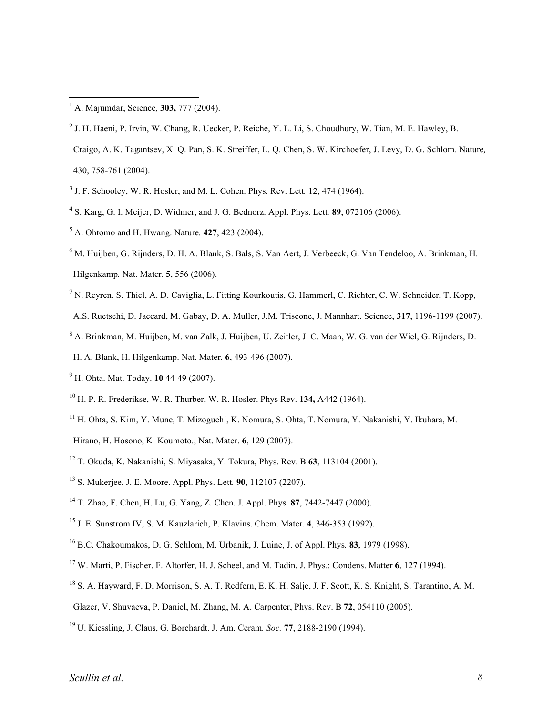- J. F. Schooley, W. R. Hosler, and M. L. Cohen. Phys. Rev. Lett*.* 12, 474 (1964).
- S. Karg, G. I. Meijer, D. Widmer, and J. G. Bednorz. Appl. Phys. Lett*.* **89**, 072106 (2006).
- A. Ohtomo and H. Hwang. Nature*.* **427**, 423 (2004).
- M. Huijben, G. Rijnders, D. H. A. Blank, S. Bals, S. Van Aert, J. Verbeeck, G. Van Tendeloo, A. Brinkman, H. Hilgenkamp*.* Nat. Mater*.* **5**, 556 (2006).
- $^7$  N. Reyren, S. Thiel, A. D. Caviglia, L. Fitting Kourkoutis, G. Hammerl, C. Richter, C. W. Schneider, T. Kopp,
- A.S. Ruetschi, D. Jaccard, M. Gabay, D. A. Muller, J.M. Triscone, J. Mannhart. Science, **317**, 1196-1199 (2007).
- A. Brinkman, M. Huijben, M. van Zalk, J. Huijben, U. Zeitler, J. C. Maan, W. G. van der Wiel, G. Rijnders, D.
- H. A. Blank, H. Hilgenkamp. Nat. Mater*.* **6**, 493-496 (2007).
- H. Ohta. Mat. Today. **10** 44-49 (2007).
- H. P. R. Frederikse, W. R. Thurber, W. R. Hosler. Phys Rev. **134,** A442 (1964).
- H. Ohta, S. Kim, Y. Mune, T. Mizoguchi, K. Nomura, S. Ohta, T. Nomura, Y. Nakanishi, Y. Ikuhara, M.
- Hirano, H. Hosono, K. Koumoto*.*, Nat. Mater. **6**, 129 (2007).
- T. Okuda, K. Nakanishi, S. Miyasaka, Y. Tokura, Phys. Rev. B **63**, 113104 (2001).
- S. Mukerjee, J. E. Moore. Appl. Phys. Lett*.* **90**, 112107 (2207).
- T. Zhao, F. Chen, H. Lu, G. Yang, Z. Chen. J. Appl. Phys*.* **87**, 7442-7447 (2000).
- J. E. Sunstrom IV, S. M. Kauzlarich, P. Klavins. Chem. Mater*.* **4**, 346-353 (1992).
- B.C. Chakoumakos, D. G. Schlom, M. Urbanik, J. Luine, J. of Appl. Phys*.* **83**, 1979 (1998).
- W. Marti, P. Fischer, F. Altorfer, H. J. Scheel, and M. Tadin, J. Phys.: Condens. Matter **6**, 127 (1994).
- <sup>18</sup> S. A. Hayward, F. D. Morrison, S. A. T. Redfern, E. K. H. Salje, J. F. Scott, K. S. Knight, S. Tarantino, A. M.
- Glazer, V. Shuvaeva, P. Daniel, M. Zhang, M. A. Carpenter, Phys. Rev. B **72**, 054110 (2005).
- U. Kiessling, J. Claus, G. Borchardt. J. Am. Ceram*. Soc.* **77**, 2188-2190 (1994).

A. Majumdar, Science*,* **303,** <sup>777</sup> (2004).

J. H. Haeni, P. Irvin, W. Chang, R. Uecker, P. Reiche, Y. L. Li, S. Choudhury, W. Tian, M. E. Hawley, B.

Craigo, A. K. Tagantsev, X. Q. Pan, S. K. Streiffer, L. Q. Chen, S. W. Kirchoefer, J. Levy, D. G. Schlom*.* Nature*,* 430, 758-761 (2004).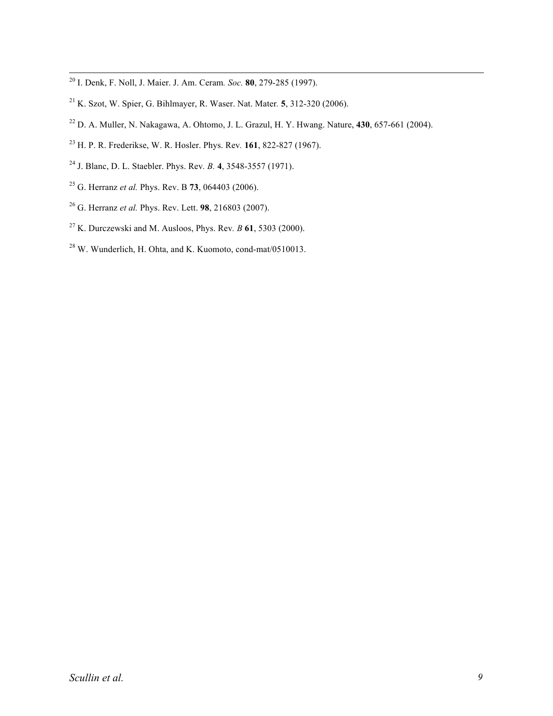- I. Denk, F. Noll, J. Maier. J. Am. Ceram*. Soc.* **<sup>80</sup>**, 279-285 (1997).
- K. Szot, W. Spier, G. Bihlmayer, R. Waser. Nat. Mater*.* **5**, 312-320 (2006).
- D. A. Muller, N. Nakagawa, A. Ohtomo, J. L. Grazul, H. Y. Hwang. Nature, **430**, 657-661 (2004).
- H. P. R. Frederikse, W. R. Hosler. Phys. Rev*.* **161**, 822-827 (1967).
- J. Blanc, D. L. Staebler. Phys. Rev*. B.* **4**, 3548-3557 (1971).
- G. Herranz *et al.* Phys. Rev. B **73**, 064403 (2006).
- G. Herranz *et al.* Phys. Rev. Lett. **98**, 216803 (2007).
- K. Durczewski and M. Ausloos, Phys. Rev*. B* **61**, 5303 (2000).
- W. Wunderlich, H. Ohta, and K. Kuomoto, cond-mat/0510013.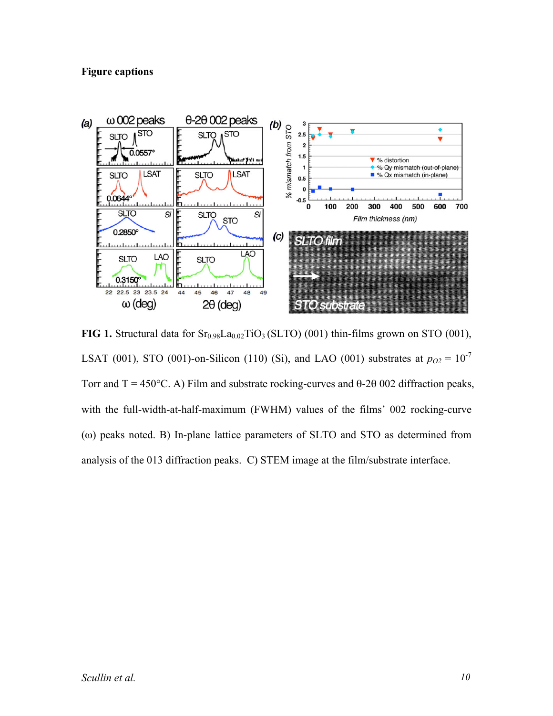## **Figure captions**



**FIG** 1. Structural data for  $Sr<sub>0.98</sub>La<sub>0.02</sub>TiO<sub>3</sub> (SLTO) (001)$  thin-films grown on STO (001), LSAT (001), STO (001)-on-Silicon (110) (Si), and LAO (001) substrates at  $p_{O2} = 10^{-7}$ Torr and T = 450°C. A) Film and substrate rocking-curves and  $\theta$ -2 $\theta$  002 diffraction peaks, with the full-width-at-half-maximum (FWHM) values of the films' 002 rocking-curve (ω) peaks noted. B) In-plane lattice parameters of SLTO and STO as determined from analysis of the 013 diffraction peaks. C) STEM image at the film/substrate interface.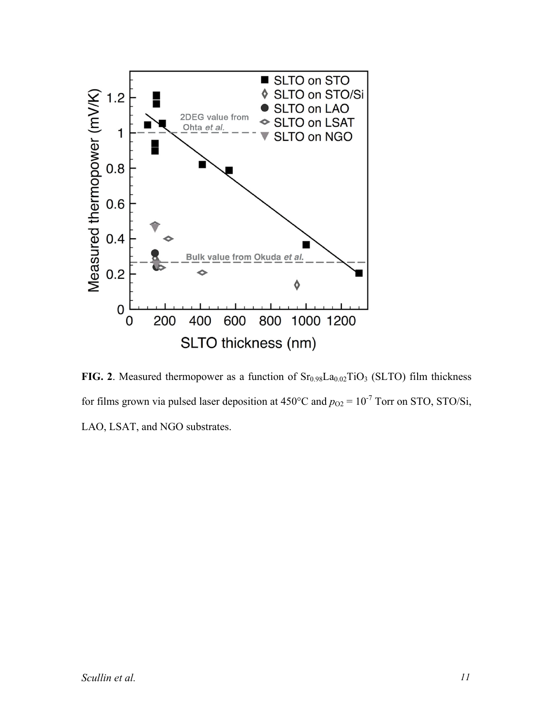

**FIG. 2**. Measured thermopower as a function of  $Sr<sub>0.98</sub>La<sub>0.02</sub>TiO<sub>3</sub>$  (SLTO) film thickness for films grown via pulsed laser deposition at  $450^{\circ}$ C and  $p_{O2} = 10^{-7}$  Torr on STO, STO/Si, LAO, LSAT, and NGO substrates.